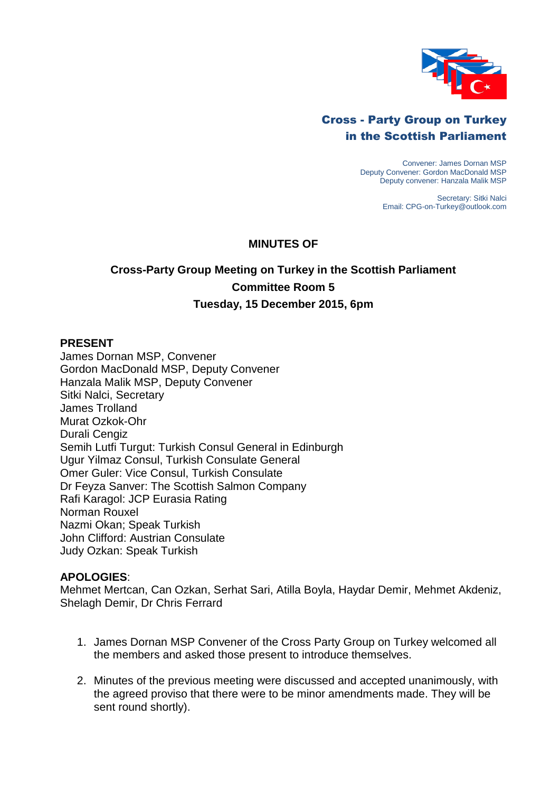

## Cross - Party Group on Turkey in the Scottish Parliament

Convener: James Dornan MSP Deputy Convener: Gordon MacDonald MSP Deputy convener: Hanzala Malik MSP

> Secretary: Sitki Nalci Email: CPG-on-Turkey@outlook.com

## **MINUTES OF**

# **Cross-Party Group Meeting on Turkey in the Scottish Parliament Committee Room 5 Tuesday, 15 December 2015, 6pm**

#### **PRESENT**

James Dornan MSP, Convener Gordon MacDonald MSP, Deputy Convener Hanzala Malik MSP, Deputy Convener Sitki Nalci, Secretary James Trolland Murat Ozkok-Ohr Durali Cengiz Semih Lutfi Turgut: Turkish Consul General in Edinburgh Ugur Yilmaz Consul, Turkish Consulate General Omer Guler: Vice Consul, Turkish Consulate Dr Feyza Sanver: The Scottish Salmon Company Rafi Karagol: JCP Eurasia Rating Norman Rouxel Nazmi Okan; Speak Turkish John Clifford: Austrian Consulate Judy Ozkan: Speak Turkish

#### **APOLOGIES**:

Mehmet Mertcan, Can Ozkan, Serhat Sari, Atilla Boyla, Haydar Demir, Mehmet Akdeniz, Shelagh Demir, Dr Chris Ferrard

- 1. James Dornan MSP Convener of the Cross Party Group on Turkey welcomed all the members and asked those present to introduce themselves.
- 2. Minutes of the previous meeting were discussed and accepted unanimously, with the agreed proviso that there were to be minor amendments made. They will be sent round shortly).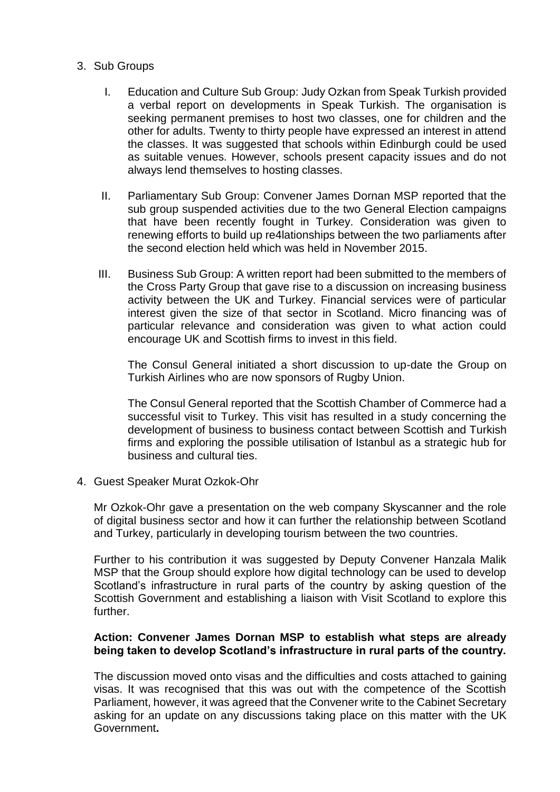#### 3. Sub Groups

- I. Education and Culture Sub Group: Judy Ozkan from Speak Turkish provided a verbal report on developments in Speak Turkish. The organisation is seeking permanent premises to host two classes, one for children and the other for adults. Twenty to thirty people have expressed an interest in attend the classes. It was suggested that schools within Edinburgh could be used as suitable venues. However, schools present capacity issues and do not always lend themselves to hosting classes.
- II. Parliamentary Sub Group: Convener James Dornan MSP reported that the sub group suspended activities due to the two General Election campaigns that have been recently fought in Turkey. Consideration was given to renewing efforts to build up re4lationships between the two parliaments after the second election held which was held in November 2015.
- III. Business Sub Group: A written report had been submitted to the members of the Cross Party Group that gave rise to a discussion on increasing business activity between the UK and Turkey. Financial services were of particular interest given the size of that sector in Scotland. Micro financing was of particular relevance and consideration was given to what action could encourage UK and Scottish firms to invest in this field.

The Consul General initiated a short discussion to up-date the Group on Turkish Airlines who are now sponsors of Rugby Union.

The Consul General reported that the Scottish Chamber of Commerce had a successful visit to Turkey. This visit has resulted in a study concerning the development of business to business contact between Scottish and Turkish firms and exploring the possible utilisation of Istanbul as a strategic hub for business and cultural ties.

4. Guest Speaker Murat Ozkok-Ohr

Mr Ozkok-Ohr gave a presentation on the web company Skyscanner and the role of digital business sector and how it can further the relationship between Scotland and Turkey, particularly in developing tourism between the two countries.

Further to his contribution it was suggested by Deputy Convener Hanzala Malik MSP that the Group should explore how digital technology can be used to develop Scotland's infrastructure in rural parts of the country by asking question of the Scottish Government and establishing a liaison with Visit Scotland to explore this further.

## **Action: Convener James Dornan MSP to establish what steps are already being taken to develop Scotland's infrastructure in rural parts of the country.**

The discussion moved onto visas and the difficulties and costs attached to gaining visas. It was recognised that this was out with the competence of the Scottish Parliament, however, it was agreed that the Convener write to the Cabinet Secretary asking for an update on any discussions taking place on this matter with the UK Government**.**